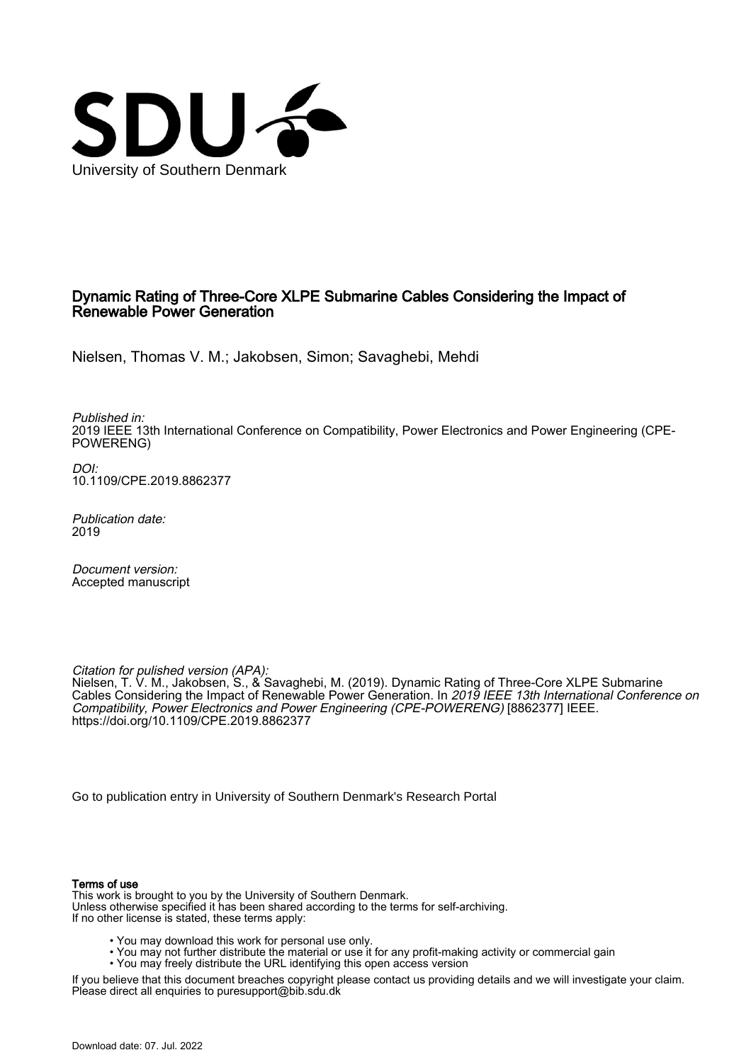

## Dynamic Rating of Three-Core XLPE Submarine Cables Considering the Impact of Renewable Power Generation

Nielsen, Thomas V. M.; Jakobsen, Simon; Savaghebi, Mehdi

Published in: 2019 IEEE 13th International Conference on Compatibility, Power Electronics and Power Engineering (CPE-POWERENG)

DOI: [10.1109/CPE.2019.8862377](https://doi.org/10.1109/CPE.2019.8862377)

Publication date: 2019

Document version: Accepted manuscript

Citation for pulished version (APA):

Nielsen, T. V. M., Jakobsen, S., & Savaghebi, M. (2019). Dynamic Rating of Three-Core XLPE Submarine Cables Considering the Impact of Renewable Power Generation. In 2019 IEEE 13th International Conference on Compatibility, Power Electronics and Power Engineering (CPE-POWERENG) [8862377] IEEE. <https://doi.org/10.1109/CPE.2019.8862377>

[Go to publication entry in University of Southern Denmark's Research Portal](https://portal.findresearcher.sdu.dk/en/publications/ebb090f6-379d-44bc-bbe4-2adcfdf8a676)

## Terms of use

This work is brought to you by the University of Southern Denmark. Unless otherwise specified it has been shared according to the terms for self-archiving. If no other license is stated, these terms apply:

- You may download this work for personal use only.
- You may not further distribute the material or use it for any profit-making activity or commercial gain
	- You may freely distribute the URL identifying this open access version

If you believe that this document breaches copyright please contact us providing details and we will investigate your claim. Please direct all enquiries to puresupport@bib.sdu.dk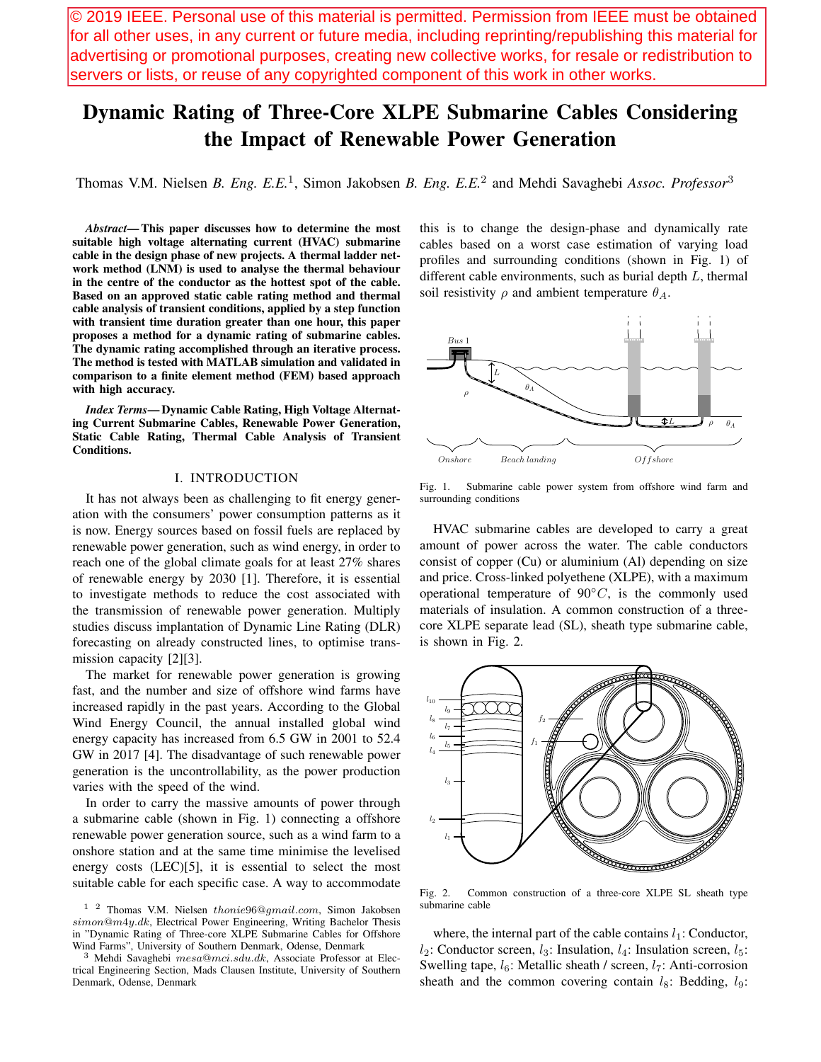© 2019 IEEE. Personal use of this material is permitted. Permission from IEEE must be obtained for all other uses, in any current or future media, including reprinting/republishing this material for advertising or promotional purposes, creating new collective works, for resale or redistribution to servers or lists, or reuse of any copyrighted component of this work in other works.

# Dynamic Rating of Three-Core XLPE Submarine Cables Considering the Impact of Renewable Power Generation

Thomas V.M. Nielsen *B. Eng. E.E.*<sup>1</sup> , Simon Jakobsen *B. Eng. E.E.*<sup>2</sup> and Mehdi Savaghebi *Assoc. Professor*<sup>3</sup>

*Abstract*— This paper discusses how to determine the most suitable high voltage alternating current (HVAC) submarine cable in the design phase of new projects. A thermal ladder network method (LNM) is used to analyse the thermal behaviour in the centre of the conductor as the hottest spot of the cable. Based on an approved static cable rating method and thermal cable analysis of transient conditions, applied by a step function with transient time duration greater than one hour, this paper proposes a method for a dynamic rating of submarine cables. The dynamic rating accomplished through an iterative process. The method is tested with MATLAB simulation and validated in comparison to a finite element method (FEM) based approach with high accuracy.

*Index Terms*— Dynamic Cable Rating, High Voltage Alternating Current Submarine Cables, Renewable Power Generation, Static Cable Rating, Thermal Cable Analysis of Transient Conditions.

## I. INTRODUCTION

It has not always been as challenging to fit energy generation with the consumers' power consumption patterns as it is now. Energy sources based on fossil fuels are replaced by renewable power generation, such as wind energy, in order to reach one of the global climate goals for at least 27% shares of renewable energy by 2030 [1]. Therefore, it is essential to investigate methods to reduce the cost associated with the transmission of renewable power generation. Multiply studies discuss implantation of Dynamic Line Rating (DLR) forecasting on already constructed lines, to optimise transmission capacity [2][3].

The market for renewable power generation is growing fast, and the number and size of offshore wind farms have increased rapidly in the past years. According to the Global Wind Energy Council, the annual installed global wind energy capacity has increased from 6.5 GW in 2001 to 52.4 GW in 2017 [4]. The disadvantage of such renewable power generation is the uncontrollability, as the power production varies with the speed of the wind.

In order to carry the massive amounts of power through a submarine cable (shown in Fig. 1) connecting a offshore renewable power generation source, such as a wind farm to a onshore station and at the same time minimise the levelised energy costs (LEC)[5], it is essential to select the most suitable cable for each specific case. A way to accommodate

this is to change the design-phase and dynamically rate cables based on a worst case estimation of varying load profiles and surrounding conditions (shown in Fig. 1) of different cable environments, such as burial depth *L*, thermal soil resistivity  $\rho$  and ambient temperature  $\theta_A$ .



Fig. 1. Submarine cable power system from offshore wind farm and surrounding conditions

HVAC submarine cables are developed to carry a great amount of power across the water. The cable conductors consist of copper (Cu) or aluminium (Al) depending on size and price. Cross-linked polyethene (XLPE), with a maximum operational temperature of 90*◦C*, is the commonly used materials of insulation. A common construction of a threecore XLPE separate lead (SL), sheath type submarine cable, is shown in Fig. 2.



Fig. 2. Common construction of a three-core XLPE SL sheath type submarine cable

where, the internal part of the cable contains  $l_1$ : Conductor,  $l_2$ : Conductor screen,  $l_3$ : Insulation,  $l_4$ : Insulation screen,  $l_5$ : Swelling tape, *l*<sub>6</sub>: Metallic sheath / screen, *l*<sub>7</sub>: Anti-corrosion sheath and the common covering contain  $l_8$ : Bedding,  $l_9$ :

<sup>1 2</sup> Thomas V.M. Nielsen *thonie*96@*gmail.com*, Simon Jakobsen *simon*@*m*4*y.dk*, Electrical Power Engineering, Writing Bachelor Thesis in "Dynamic Rating of Three-core XLPE Submarine Cables for Offshore Wind Farms", University of Southern Denmark, Odense, Denmark

<sup>3</sup> Mehdi Savaghebi *mesa*@*mci.sdu.dk*, Associate Professor at Electrical Engineering Section, Mads Clausen Institute, University of Southern Denmark, Odense, Denmark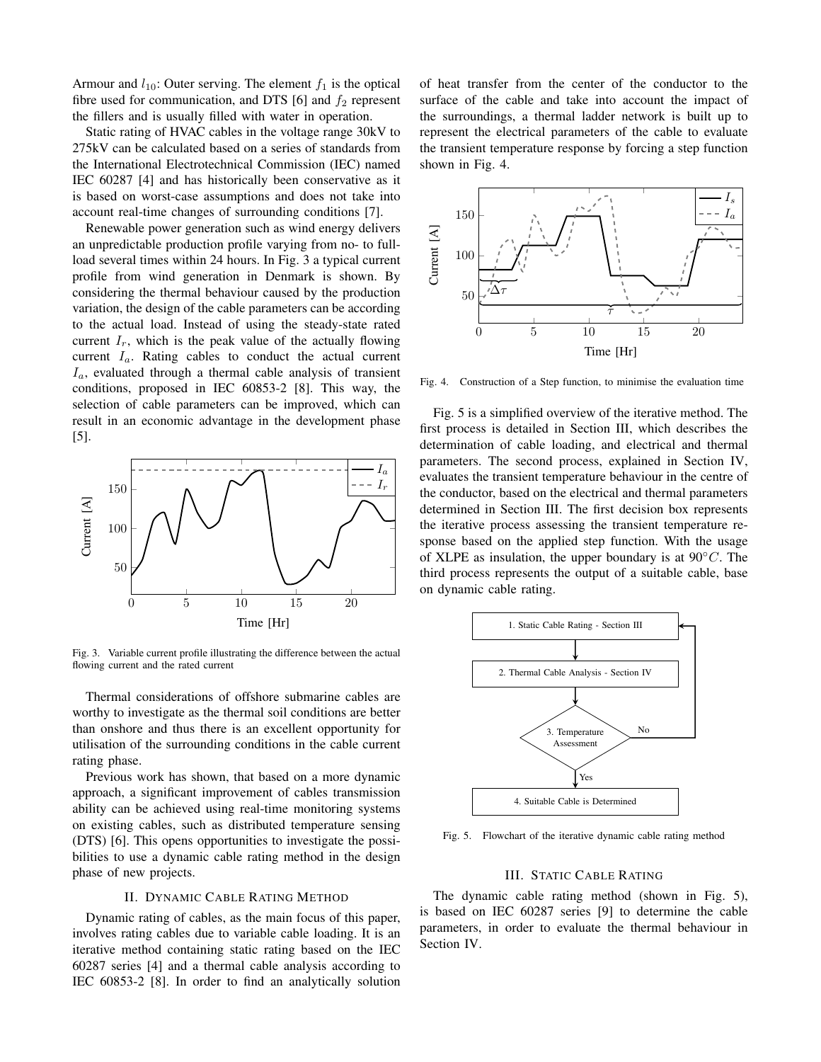Armour and  $l_{10}$ : Outer serving. The element  $f_1$  is the optical fibre used for communication, and DTS  $[6]$  and  $f_2$  represent the fillers and is usually filled with water in operation.

Static rating of HVAC cables in the voltage range 30kV to 275kV can be calculated based on a series of standards from the International Electrotechnical Commission (IEC) named IEC 60287 [4] and has historically been conservative as it is based on worst-case assumptions and does not take into account real-time changes of surrounding conditions [7].

Renewable power generation such as wind energy delivers an unpredictable production profile varying from no- to fullload several times within 24 hours. In Fig. 3 a typical current profile from wind generation in Denmark is shown. By considering the thermal behaviour caused by the production variation, the design of the cable parameters can be according to the actual load. Instead of using the steady-state rated current  $I_r$ , which is the peak value of the actually flowing current *Ia*. Rating cables to conduct the actual current *Ia*, evaluated through a thermal cable analysis of transient conditions, proposed in IEC 60853-2 [8]. This way, the selection of cable parameters can be improved, which can result in an economic advantage in the development phase [5].



Fig. 3. Variable current profile illustrating the difference between the actual flowing current and the rated current

Thermal considerations of offshore submarine cables are worthy to investigate as the thermal soil conditions are better than onshore and thus there is an excellent opportunity for utilisation of the surrounding conditions in the cable current rating phase.

Previous work has shown, that based on a more dynamic approach, a significant improvement of cables transmission ability can be achieved using real-time monitoring systems on existing cables, such as distributed temperature sensing (DTS) [6]. This opens opportunities to investigate the possibilities to use a dynamic cable rating method in the design phase of new projects.

## II. DYNAMIC CABLE RATING METHOD

Dynamic rating of cables, as the main focus of this paper, involves rating cables due to variable cable loading. It is an iterative method containing static rating based on the IEC 60287 series [4] and a thermal cable analysis according to IEC 60853-2 [8]. In order to find an analytically solution of heat transfer from the center of the conductor to the surface of the cable and take into account the impact of the surroundings, a thermal ladder network is built up to represent the electrical parameters of the cable to evaluate the transient temperature response by forcing a step function shown in Fig. 4.



Fig. 4. Construction of a Step function, to minimise the evaluation time

Fig. 5 is a simplified overview of the iterative method. The first process is detailed in Section III, which describes the determination of cable loading, and electrical and thermal parameters. The second process, explained in Section IV, evaluates the transient temperature behaviour in the centre of the conductor, based on the electrical and thermal parameters determined in Section III. The first decision box represents the iterative process assessing the transient temperature response based on the applied step function. With the usage of XLPE as insulation, the upper boundary is at 90*◦C*. The third process represents the output of a suitable cable, base on dynamic cable rating.



Fig. 5. Flowchart of the iterative dynamic cable rating method

## III. STATIC CABLE RATING

The dynamic cable rating method (shown in Fig. 5), is based on IEC 60287 series [9] to determine the cable parameters, in order to evaluate the thermal behaviour in Section IV.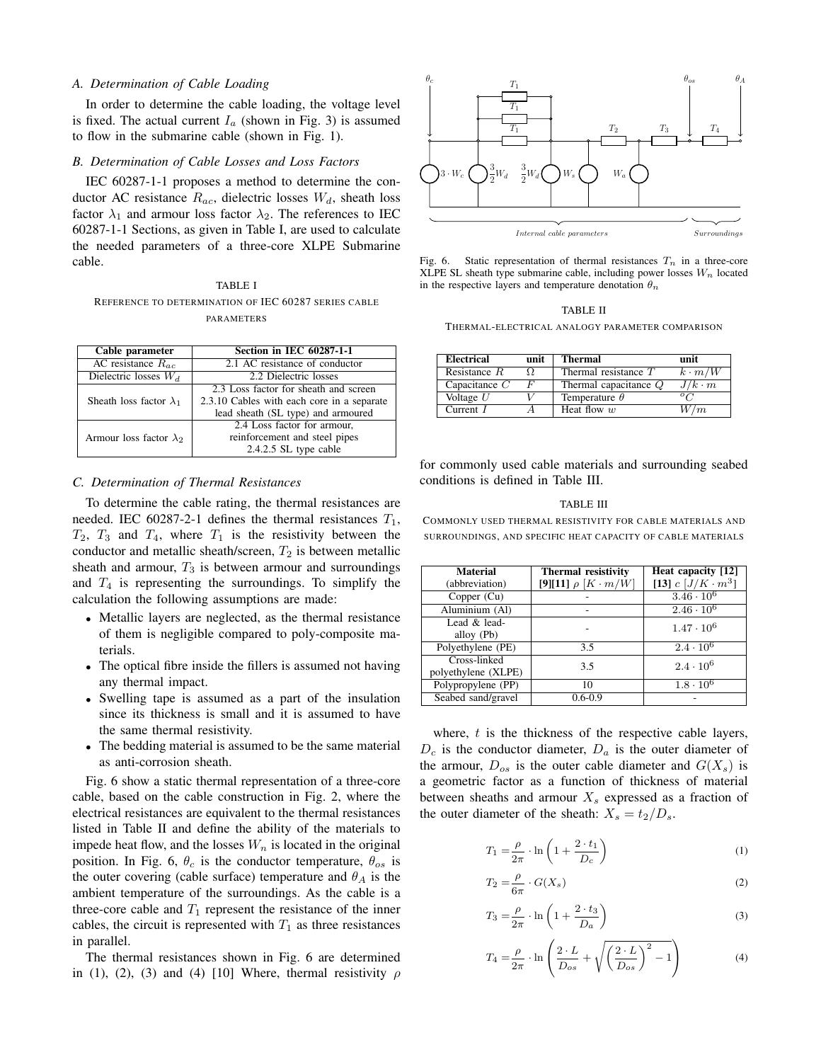#### *A. Determination of Cable Loading*

In order to determine the cable loading, the voltage level is fixed. The actual current  $I_a$  (shown in Fig. 3) is assumed to flow in the submarine cable (shown in Fig. 1).

#### *B. Determination of Cable Losses and Loss Factors*

IEC 60287-1-1 proposes a method to determine the conductor AC resistance *Rac*, dielectric losses *Wd*, sheath loss factor  $\lambda_1$  and armour loss factor  $\lambda_2$ . The references to IEC 60287-1-1 Sections, as given in Table I, are used to calculate the needed parameters of a three-core XLPE Submarine cable.

## TABLE I REFERENCE TO DETERMINATION OF IEC 60287 SERIES CABLE PARAMETERS

| Cable parameter                     | <b>Section in IEC 60287-1-1</b>            |  |  |
|-------------------------------------|--------------------------------------------|--|--|
| $\overline{AC}$ resistance $R_{ac}$ | 2.1 AC resistance of conductor             |  |  |
| Dielectric losses $W_d$             | 2.2 Dielectric losses                      |  |  |
|                                     | 2.3 Loss factor for sheath and screen      |  |  |
| Sheath loss factor $\lambda_1$      | 2.3.10 Cables with each core in a separate |  |  |
|                                     | lead sheath (SL type) and armoured         |  |  |
|                                     | 2.4 Loss factor for armour,                |  |  |
| Armour loss factor $\lambda_2$      | reinforcement and steel pipes              |  |  |
|                                     | 2.4.2.5 SL type cable                      |  |  |

## *C. Determination of Thermal Resistances*

To determine the cable rating, the thermal resistances are needed. IEC 60287-2-1 defines the thermal resistances  $T_1$ ,  $T_2$ ,  $T_3$  and  $T_4$ , where  $T_1$  is the resistivity between the conductor and metallic sheath/screen,  $T_2$  is between metallic sheath and armour,  $T_3$  is between armour and surroundings and  $T_4$  is representing the surroundings. To simplify the calculation the following assumptions are made:

- *•* Metallic layers are neglected, as the thermal resistance of them is negligible compared to poly-composite materials.
- The optical fibre inside the fillers is assumed not having any thermal impact.
- *•* Swelling tape is assumed as a part of the insulation since its thickness is small and it is assumed to have the same thermal resistivity.
- *•* The bedding material is assumed to be the same material as anti-corrosion sheath.

Fig. 6 show a static thermal representation of a three-core cable, based on the cable construction in Fig. 2, where the electrical resistances are equivalent to the thermal resistances listed in Table II and define the ability of the materials to impede heat flow, and the losses  $W_n$  is located in the original position. In Fig. 6,  $\theta_c$  is the conductor temperature,  $\theta_{os}$  is the outer covering (cable surface) temperature and  $\theta_A$  is the ambient temperature of the surroundings. As the cable is a three-core cable and  $T_1$  represent the resistance of the inner cables, the circuit is represented with  $T_1$  as three resistances in parallel.

The thermal resistances shown in Fig. 6 are determined in (1), (2), (3) and (4) [10] Where, thermal resistivity  $\rho$ 



Fig. 6. Static representation of thermal resistances  $T_n$  in a three-core XLPE SL sheath type submarine cable, including power losses  $W_n$  located in the respective layers and temperature denotation  $\theta_n$ 

#### TABLE II

THERMAL-ELECTRICAL ANALOGY PARAMETER COMPARISON

| <b>Electrical</b> | unit | <b>Thermal</b>          | unit          |
|-------------------|------|-------------------------|---------------|
| Resistance $R$    | Ω.   | Thermal resistance $T$  | $k \cdot m/W$ |
| Capacitance $C$   | F    | Thermal capacitance $Q$ | $J/k \cdot m$ |
| Voltage $U$       |      | Temperature $\theta$    |               |
| Current I         |      | Heat flow $w$           | /m            |

for commonly used cable materials and surrounding seabed conditions is defined in Table III.

#### TABLE III

COMMONLY USED THERMAL RESISTIVITY FOR CABLE MATERIALS AND SURROUNDINGS, AND SPECIFIC HEAT CAPACITY OF CABLE MATERIALS

| <b>Material</b><br>(abbreviation)   | <b>Thermal resistivity</b><br>[9][11] $\rho$ [K · m/W] | Heat capacity [12]<br>[13] $c [J/K \cdot m^3]$ |
|-------------------------------------|--------------------------------------------------------|------------------------------------------------|
| Copper (Cu)                         |                                                        | $3.46 \cdot 10^6$                              |
| Aluminium (Al)                      |                                                        | $2.46 \cdot 10^{6}$                            |
| Lead & lead-<br>alloy (Pb)          |                                                        | $1.47 \cdot 10^6$                              |
| Polyethylene (PE)                   | 3.5                                                    | $2.4 \cdot 10^{6}$                             |
| Cross-linked<br>polyethylene (XLPE) | 3.5                                                    | $2.4 \cdot 10^6$                               |
| Polypropylene (PP)                  | 10                                                     | $1.8 \cdot 10^{6}$                             |
| Seabed sand/gravel                  | $0.6 - 0.9$                                            |                                                |

where, *t* is the thickness of the respective cable layers,  $D_c$  is the conductor diameter,  $D_a$  is the outer diameter of the armour,  $D_{os}$  is the outer cable diameter and  $G(X_s)$  is a geometric factor as a function of thickness of material between sheaths and armour *X<sup>s</sup>* expressed as a fraction of the outer diameter of the sheath:  $X_s = t_2/D_s$ .

$$
T_1 = \frac{\rho}{2\pi} \cdot \ln\left(1 + \frac{2 \cdot t_1}{D_c}\right) \tag{1}
$$

$$
T_2 = \frac{\rho}{6\pi} \cdot G(X_s) \tag{2}
$$

$$
T_3 = \frac{\rho}{2\pi} \cdot \ln\left(1 + \frac{2 \cdot t_3}{D_a}\right) \tag{3}
$$

$$
T_4 = \frac{\rho}{2\pi} \cdot \ln\left(\frac{2 \cdot L}{D_{os}} + \sqrt{\left(\frac{2 \cdot L}{D_{os}}\right)^2 - 1}\right) \tag{4}
$$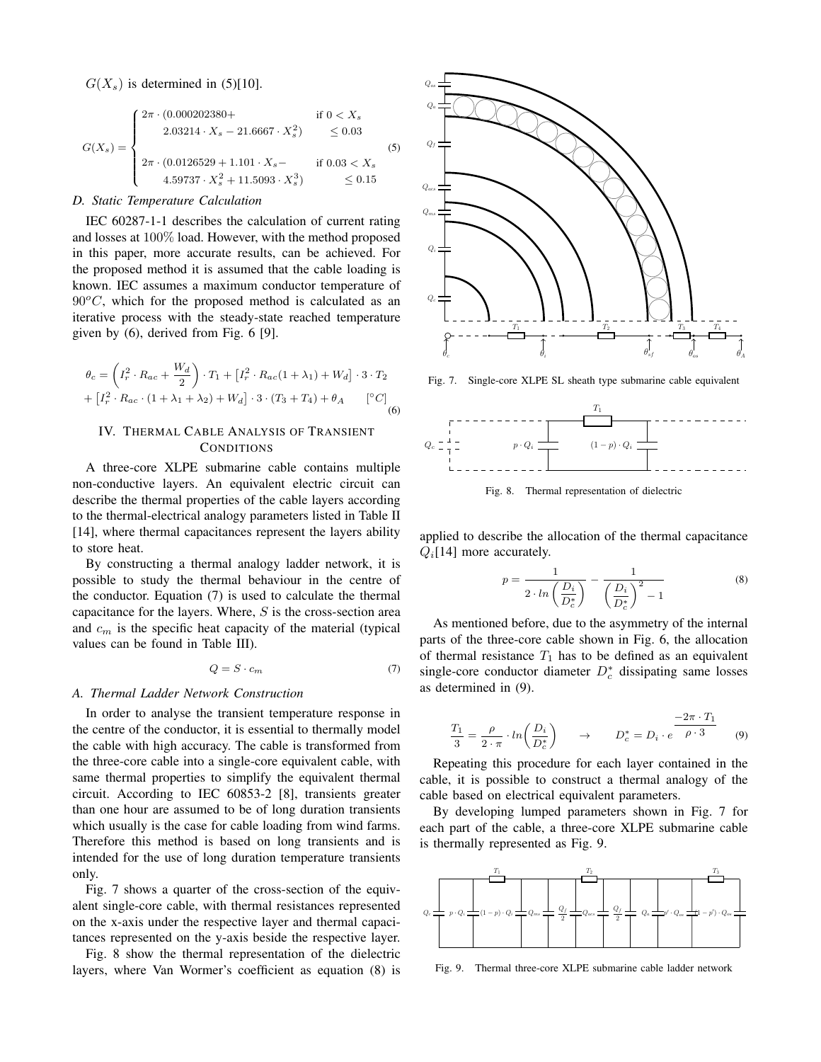$G(X_s)$  is determined in (5)[10].

$$
G(X_s) = \begin{cases} 2\pi \cdot (0.000202380 + \text{ if } 0 < X_s \\ 2.03214 \cdot X_s - 21.6667 \cdot X_s^2) < 0.03 \\ 2\pi \cdot (0.0126529 + 1.101 \cdot X_s - \text{ if } 0.03 < X_s \\ 4.59737 \cdot X_s^2 + 11.5093 \cdot X_s^3) < 0.15 \end{cases}
$$
\n(5)

## *D. Static Temperature Calculation*

IEC 60287-1-1 describes the calculation of current rating and losses at 100% load. However, with the method proposed in this paper, more accurate results, can be achieved. For the proposed method it is assumed that the cable loading is known. IEC assumes a maximum conductor temperature of  $90^{\circ}$ C, which for the proposed method is calculated as an iterative process with the steady-state reached temperature given by (6), derived from Fig. 6 [9].

$$
\theta_c = \left(I_r^2 \cdot R_{ac} + \frac{W_d}{2}\right) \cdot T_1 + \left[I_r^2 \cdot R_{ac}(1 + \lambda_1) + W_d\right] \cdot 3 \cdot T_2
$$

$$
+ \left[I_r^2 \cdot R_{ac} \cdot (1 + \lambda_1 + \lambda_2) + W_d\right] \cdot 3 \cdot (T_3 + T_4) + \theta_A \qquad [^\circ C]
$$
(6)

## IV. THERMAL CABLE ANALYSIS OF TRANSIENT **CONDITIONS**

A three-core XLPE submarine cable contains multiple non-conductive layers. An equivalent electric circuit can describe the thermal properties of the cable layers according to the thermal-electrical analogy parameters listed in Table II [14], where thermal capacitances represent the layers ability to store heat.

By constructing a thermal analogy ladder network, it is possible to study the thermal behaviour in the centre of the conductor. Equation (7) is used to calculate the thermal capacitance for the layers. Where, *S* is the cross-section area and *c<sup>m</sup>* is the specific heat capacity of the material (typical values can be found in Table III).

$$
Q = S \cdot c_m \tag{7}
$$

## *A. Thermal Ladder Network Construction*

In order to analyse the transient temperature response in the centre of the conductor, it is essential to thermally model the cable with high accuracy. The cable is transformed from the three-core cable into a single-core equivalent cable, with same thermal properties to simplify the equivalent thermal circuit. According to IEC 60853-2 [8], transients greater than one hour are assumed to be of long duration transients which usually is the case for cable loading from wind farms. Therefore this method is based on long transients and is intended for the use of long duration temperature transients only.

Fig. 7 shows a quarter of the cross-section of the equivalent single-core cable, with thermal resistances represented on the x-axis under the respective layer and thermal capacitances represented on the y-axis beside the respective layer.

Fig. 8 show the thermal representation of the dielectric layers, where Van Wormer's coefficient as equation (8) is



Fig. 7. Single-core XLPE SL sheath type submarine cable equivalent



Fig. 8. Thermal representation of dielectric

applied to describe the allocation of the thermal capacitance *Qi*[14] more accurately.

$$
p = \frac{1}{2 \cdot ln\left(\frac{D_i}{D_c^*}\right)} - \frac{1}{\left(\frac{D_i}{D_c^*}\right)^2 - 1} \tag{8}
$$

As mentioned before, due to the asymmetry of the internal parts of the three-core cable shown in Fig. 6, the allocation of thermal resistance  $T_1$  has to be defined as an equivalent single-core conductor diameter *D<sup>∗</sup> <sup>c</sup>* dissipating same losses as determined in (9).

$$
\frac{T_1}{3} = \frac{\rho}{2 \cdot \pi} \cdot \ln\left(\frac{D_i}{D_c^*}\right) \qquad \to \qquad D_c^* = D_i \cdot e^{\frac{-2\pi \cdot T_1}{\rho \cdot 3}} \tag{9}
$$

Repeating this procedure for each layer contained in the cable, it is possible to construct a thermal analogy of the cable based on electrical equivalent parameters.

By developing lumped parameters shown in Fig. 7 for each part of the cable, a three-core XLPE submarine cable is thermally represented as Fig. 9.



Fig. 9. Thermal three-core XLPE submarine cable ladder network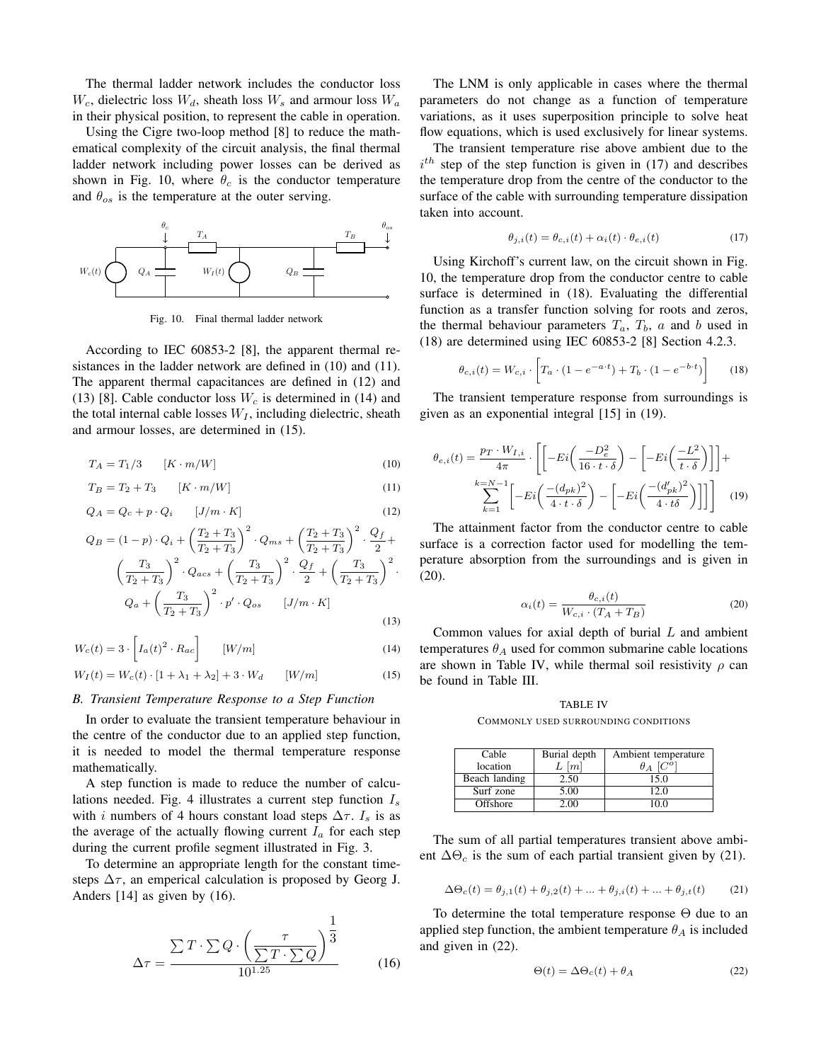The thermal ladder network includes the conductor loss  $W_c$ , dielectric loss  $W_d$ , sheath loss  $W_s$  and armour loss  $W_a$ in their physical position, to represent the cable in operation.

Using the Cigre two-loop method [8] to reduce the mathematical complexity of the circuit analysis, the final thermal ladder network including power losses can be derived as shown in Fig. 10, where  $\theta_c$  is the conductor temperature and  $\theta_{os}$  is the temperature at the outer serving.



Fig. 10. Final thermal ladder network

According to IEC 60853-2 [8], the apparent thermal resistances in the ladder network are defined in (10) and (11). The apparent thermal capacitances are defined in (12) and (13) [8]. Cable conductor loss *W<sup>c</sup>* is determined in (14) and the total internal cable losses  $W_I$ , including dielectric, sheath and armour losses, are determined in (15).

$$
T_A = T_1/3 \qquad [K \cdot m/W] \tag{10}
$$

$$
T_B = T_2 + T_3 \qquad [K \cdot m/W] \tag{11}
$$

$$
Q_A = Q_c + p \cdot Q_i \qquad [J/m \cdot K] \tag{12}
$$

$$
Q_B = (1 - p) \cdot Q_i + \left(\frac{T_2 + T_3}{T_2 + T_3}\right)^2 \cdot Q_{ms} + \left(\frac{T_2 + T_3}{T_2 + T_3}\right)^2 \cdot \frac{Q_f}{2} + \left(\frac{T_3}{T_2 + T_3}\right)^2 \cdot Q_{acs} + \left(\frac{T_3}{T_2 + T_3}\right)^2 \cdot \frac{Q_f}{2} + \left(\frac{T_3}{T_2 + T_3}\right)^2 \cdot Q_a + \left(\frac{T_3}{T_2 + T_3}\right)^2 \cdot p' \cdot Q_{os} \qquad [J/m \cdot K]
$$
\n(13)

$$
W_c(t) = 3 \cdot \left[ I_a(t)^2 \cdot R_{ac} \right] \qquad [W/m] \tag{14}
$$

$$
W_I(t) = W_c(t) \cdot [1 + \lambda_1 + \lambda_2] + 3 \cdot W_d \qquad [W/m]
$$
 (15)

## *B. Transient Temperature Response to a Step Function*

In order to evaluate the transient temperature behaviour in the centre of the conductor due to an applied step function, it is needed to model the thermal temperature response mathematically.

A step function is made to reduce the number of calculations needed. Fig. 4 illustrates a current step function *I<sup>s</sup>* with *i* numbers of 4 hours constant load steps  $\Delta \tau$ .  $I_s$  is as the average of the actually flowing current  $I_a$  for each step during the current profile segment illustrated in Fig. 3.

To determine an appropriate length for the constant timesteps  $\Delta\tau$ , an emperical calculation is proposed by Georg J. Anders [14] as given by (16).

$$
\Delta \tau = \frac{\sum T \cdot \sum Q \cdot \left(\frac{\tau}{\sum T \cdot \sum Q}\right)^{\frac{1}{3}}}{10^{1.25}} \tag{16}
$$

The LNM is only applicable in cases where the thermal parameters do not change as a function of temperature variations, as it uses superposition principle to solve heat flow equations, which is used exclusively for linear systems.

The transient temperature rise above ambient due to the  $i<sup>th</sup>$  step of the step function is given in (17) and describes the temperature drop from the centre of the conductor to the surface of the cable with surrounding temperature dissipation taken into account.

$$
\theta_{j,i}(t) = \theta_{c,i}(t) + \alpha_i(t) \cdot \theta_{e,i}(t)
$$
\n(17)

Using Kirchoff's current law, on the circuit shown in Fig. 10, the temperature drop from the conductor centre to cable surface is determined in (18). Evaluating the differential function as a transfer function solving for roots and zeros, the thermal behaviour parameters  $T_a$ ,  $T_b$ ,  $a$  and  $b$  used in (18) are determined using IEC 60853-2 [8] Section 4.2.3.

$$
\theta_{c,i}(t) = W_{c,i} \cdot \left[ T_a \cdot (1 - e^{-a \cdot t}) + T_b \cdot (1 - e^{-b \cdot t}) \right]
$$
(18)

The transient temperature response from surroundings is given as an exponential integral [15] in (19).

$$
\theta_{e,i}(t) = \frac{p_T \cdot W_{I,i}}{4\pi} \cdot \left[ \left[ -Ei\left(\frac{-D_e^2}{16 \cdot t \cdot \delta}\right) - \left[ -Ei\left(\frac{-L^2}{t \cdot \delta}\right) \right] \right] + \sum_{k=1}^{k=N-1} \left[ -Ei\left(\frac{-(d_{pk})^2}{4 \cdot t \cdot \delta}\right) - \left[ -Ei\left(\frac{-(d_{pk}')^2}{4 \cdot t \delta}\right) \right] \right] \right] \tag{19}
$$

The attainment factor from the conductor centre to cable surface is a correction factor used for modelling the temperature absorption from the surroundings and is given in (20).

$$
\alpha_i(t) = \frac{\theta_{c,i}(t)}{W_{c,i} \cdot (T_A + T_B)}
$$
\n(20)

Common values for axial depth of burial *L* and ambient temperatures  $\theta_A$  used for common submarine cable locations are shown in Table IV, while thermal soil resistivity *ρ* can be found in Table III.

TABLE IV COMMONLY USED SURROUNDING CONDITIONS

| Cable         | Burial depth        | Ambient temperature |
|---------------|---------------------|---------------------|
| location      | $L \lceil m \rceil$ | $\theta_A$          |
| Beach landing | 2.50                | 15.0                |
| Surf zone     | 5.00                | 12 O                |
| Offshore      |                     |                     |

The sum of all partial temperatures transient above ambient ∆Θ*<sup>c</sup>* is the sum of each partial transient given by (21).

$$
\Delta\Theta_c(t) = \theta_{j,1}(t) + \theta_{j,2}(t) + \dots + \theta_{j,i}(t) + \dots + \theta_{j,t}(t)
$$
 (21)

To determine the total temperature response  $\Theta$  due to an applied step function, the ambient temperature  $\theta_A$  is included and given in (22).

$$
\Theta(t) = \Delta\Theta_c(t) + \theta_A \tag{22}
$$